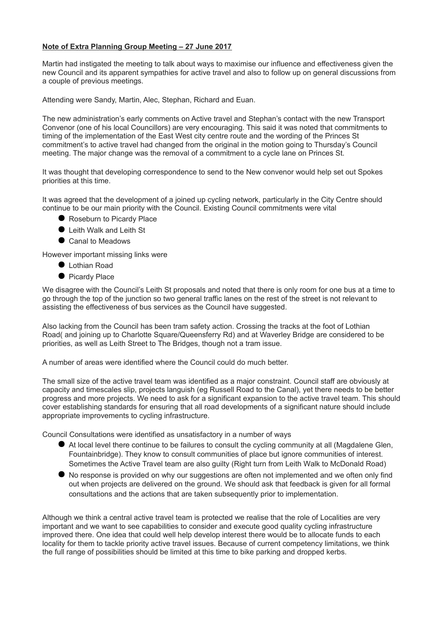## **Note of Extra Planning Group Meeting – 27 June 2017**

Martin had instigated the meeting to talk about ways to maximise our influence and effectiveness given the new Council and its apparent sympathies for active travel and also to follow up on general discussions from a couple of previous meetings.

Attending were Sandy, Martin, Alec, Stephan, Richard and Euan.

The new administration's early comments on Active travel and Stephan's contact with the new Transport Convenor (one of his local Councillors) are very encouraging. This said it was noted that commitments to timing of the implementation of the East West city centre route and the wording of the Princes St commitment's to active travel had changed from the original in the motion going to Thursday's Council meeting. The major change was the removal of a commitment to a cycle lane on Princes St.

It was thought that developing correspondence to send to the New convenor would help set out Spokes priorities at this time.

It was agreed that the development of a joined up cycling network, particularly in the City Centre should continue to be our main priority with the Council. Existing Council commitments were vital

- Roseburn to Picardy Place
- Leith Walk and Leith St
- Canal to Meadows

However important missing links were

- Lothian Road
- **•** Picardy Place

We disagree with the Council's Leith St proposals and noted that there is only room for one bus at a time to go through the top of the junction so two general traffic lanes on the rest of the street is not relevant to assisting the effectiveness of bus services as the Council have suggested.

Also lacking from the Council has been tram safety action. Crossing the tracks at the foot of Lothian Road( and joining up to Charlotte Square/Queensferry Rd) and at Waverley Bridge are considered to be priorities, as well as Leith Street to The Bridges, though not a tram issue.

A number of areas were identified where the Council could do much better.

The small size of the active travel team was identified as a major constraint. Council staff are obviously at capacity and timescales slip, projects languish (eg Russell Road to the Canal), yet there needs to be better progress and more projects. We need to ask for a significant expansion to the active travel team. This should cover establishing standards for ensuring that all road developments of a significant nature should include appropriate improvements to cycling infrastructure.

Council Consultations were identified as unsatisfactory in a number of ways

- At local level there continue to be failures to consult the cycling community at all (Magdalene Glen, Fountainbridge). They know to consult communities of place but ignore communities of interest. Sometimes the Active Travel team are also guilty (Right turn from Leith Walk to McDonald Road)
- No response is provided on why our suggestions are often not implemented and we often only find out when projects are delivered on the ground. We should ask that feedback is given for all formal consultations and the actions that are taken subsequently prior to implementation.

Although we think a central active travel team is protected we realise that the role of Localities are very important and we want to see capabilities to consider and execute good quality cycling infrastructure improved there. One idea that could well help develop interest there would be to allocate funds to each locality for them to tackle priority active travel issues. Because of current competency limitations, we think the full range of possibilities should be limited at this time to bike parking and dropped kerbs.